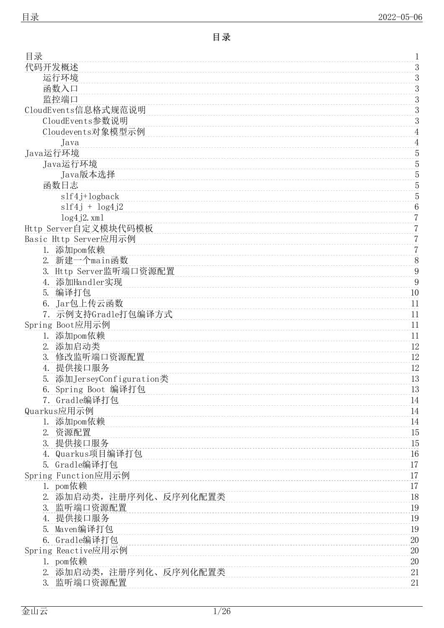<span id="page-0-0"></span>

| 目录                                     | 1                |
|----------------------------------------|------------------|
| 代码开发概述                                 | 3                |
| 运行环境                                   | $\mathfrak{Z}$   |
| 函数入口                                   | 3                |
| 监控端口                                   | 3                |
| CloudEvents信息格式规范说明                    | $\overline{3}$   |
| CloudEvents参数说明                        | $\boldsymbol{3}$ |
| Cloudevents对象模型示例                      | $\overline{4}$   |
| Java                                   | $\overline{4}$   |
| Java运行环境                               | $\sqrt{5}$       |
| Java运行环境                               | $\sqrt{5}$       |
| Java版本选择                               | 5                |
| 函数日志                                   | 5                |
| slf4j+logback                          | 5                |
| $slf4j + log4j2$                       | $\,6\,$          |
| $log4 i2.$ xml                         | $\overline{7}$   |
| Http Server自定义模块代码模板                   | $\sqrt{2}$       |
| Basic Http Server应用示例                  | $\overline{7}$   |
| 1. 添加pom依赖                             | $\overline{7}$   |
| 新建一个main函数<br>2.                       | $8\,$            |
| 3. Http Server监听端口资源配置                 | $\boldsymbol{9}$ |
| 添加Handler实现<br>4.                      | 9                |
| 编译打包<br>5.                             | 10               |
| Jar包上传云函数<br>6.                        | 11               |
| 7. 示例支持Gradle打包编译方式                    | 11               |
| Spring Boot应用示例                        | 11               |
| 添加pom依赖<br>1.                          | 11               |
| 添加启动类<br>2.                            | 12               |
| 3.<br>修改监听端口资源配置                       | 12               |
| 提供接口服务<br>4.                           | 12               |
| 添加JerseyConfiguration类<br>5.           | 13               |
| Spring Boot 编译打包<br>6.                 | 13               |
| 7. Gradle编译打包                          | 14               |
| Quarkus应用示例                            | 14               |
| 添加pom依赖<br>1.                          | 14               |
| 2.<br>资源配置                             | 15               |
| 提供接口服务<br>3.                           | 15               |
| Quarkus项目编译打包<br>4.                    | 16               |
| Gradle编译打包<br>5.                       | 17               |
| Spring Function应用示例                    | 17               |
| 1. pom依赖<br>2.                         | 17               |
| 添加启动类, 注册序列化、反序列化配置类<br>监听端口资源配置<br>3. | 18<br>19         |
| 提供接口服务<br>4.                           | 19               |
| Maven编译打包<br>5.                        | 19               |
| 6. Gradle编译打包                          | 20               |
| Spring Reactive应用示例                    | 20               |
| pom依赖<br>1.                            | 20               |
| 添加启动类, 注册序列化、反序列化配置类<br>2.             | 21               |
| 监听端口资源配置<br>3.                         | 21               |
|                                        |                  |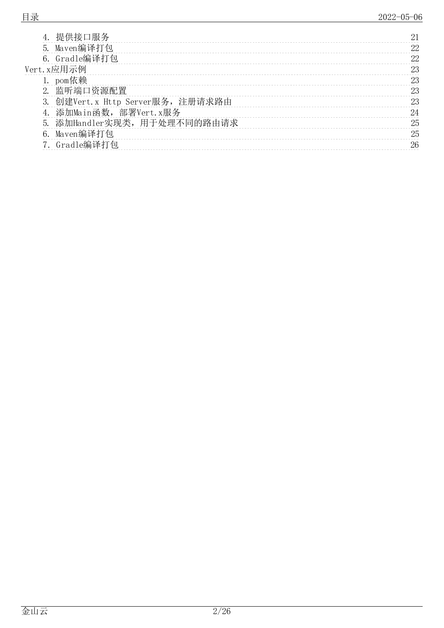|    | 提供接口服务                        | 21 |
|----|-------------------------------|----|
|    | 5. Maven编译打包                  | 22 |
|    | 6. Gradle编译打包                 | 22 |
|    | Vert. x应用示例                   | 23 |
|    | pom依赖                         | 23 |
| 2. | 监听端口资源配置                      | 23 |
| 3. | 创建Vert.x Http Server服务,注册请求路由 | 23 |
|    | 添加Main函数, 部署Vert.x服务          | 24 |
| 5. | 添加Handler实现类,用于处理不同的路由请求      | 25 |
| 6. | Maven编译打包                     | 25 |
|    | Gradle编译打包                    | 26 |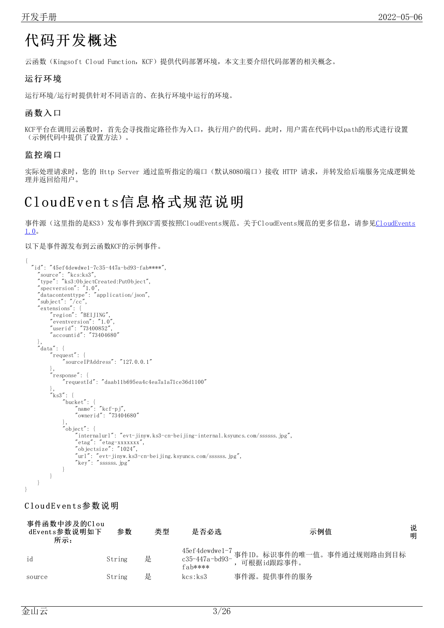# <span id="page-2-0"></span>代码开发概述

云函数(Kingsoft Cloud Function,KCF)提供代码部署环境,本文主要介绍代码部署的相关概念。

### <span id="page-2-1"></span>运行环境

运行环境/运行时提供针对不同语言的、在执行环境中运行的环境。

### <span id="page-2-2"></span>函数入口

KCF平台在调用云函数时,首先会寻找指定路径作为入口,执行用户的代码。此时,用户需在代码中以path的形式进行设置 (示例代码中提供了设置方法)。

#### <span id="page-2-3"></span>监控端口

实际处理请求时,您的 Http Server 通过监听指定的端口(默认8080端口)接收 HTTP 请求,并转发给后端服务完成逻辑处 理并返回给用户。

# <span id="page-2-4"></span>Clou dE ven t s信息格式规范说明

[事件源\(这里指的是KS3\)发布事件到KCF需要按照CloudEvents规范。关于CloudEvents规范的更多信息,请参见CloudEvents](https://github.com/cloudevents/spec/blob/v1.0/spec.md?spm=a2c4g.11186623.2.19.18026f26UPXr8S&file=spec.md) 1.0。

以下是事件源发布到云函数KCF的示例事件。

```
{
  "id": "45ef4dewdwe1-7c35-447a-bd93-fab****",
    "source": "kcs:ks3",
    "type": "ks3:ObjectCreated:PutObject",
    "specversion": "1.0",
    "datacontenttype": "application/json",
    "subject": "/cc",
    "extensions": {
         "region": "BEIJING",
         "eventversion": "1.0",
         "userid": "73400852",
         "accountid": "73404680"
    },
    "data": {
        "request": {
             "sourceIPAddress": "127.0.0.1"
         },
        "response": {
             "requestId": "daab11b695ea4c4ea7a1a71ce36d1100"
         },
         "ks3": {
             "bucket": {
                 "name": "kcf-pj",
                 "ownerid": "73404680"
             },
             "object": {
                 "internalurl": "evt-jinyw.ks3-cn-beijing-internal.ksyuncs.com/ssssss.jpg",
                 "etag": "etag-xxxxxxx",
                 "objectsize": "1024",
                 "url": "evt-jinyw.ks3-cn-beijing.ksyuncs.com/ssssss.jpg",
                 "key": "ssssss.jpg"
            }
        }
    }
}
```
#### <span id="page-2-5"></span>CloudEvents参数说明

| 事件函数中涉及的Clou<br>dEvents参数说明如下<br>所示: | 参数     | 类型 | 是否必选      | 示例值                                                                    | 说<br>明 |
|--------------------------------------|--------|----|-----------|------------------------------------------------------------------------|--------|
| id                                   | String | 是  | $fah****$ | 45ef4dewdwe1-7 事件ID。标识事件的唯一值。事件通过规则路由到目标<br>c35-447a-bd93- ,可根据id跟踪事件。 |        |
| source                               | String | 是  | kcs:ks3   | 事件源。提供事件的服务                                                            |        |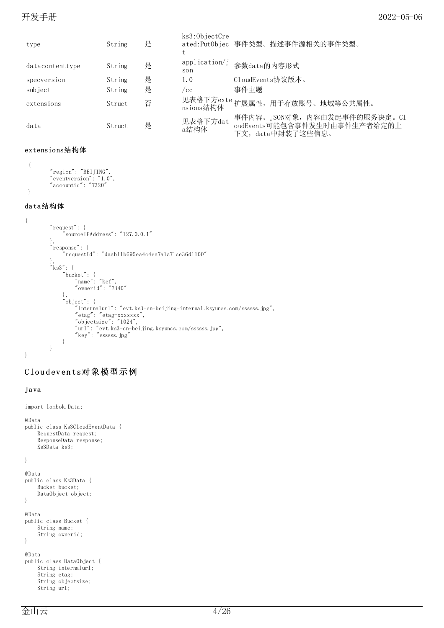| type            | String | 是 | ks3:0b jectCre       | ated:Put0bjec 事件类型。描述事件源相关的事件类型。                                                 |
|-----------------|--------|---|----------------------|----------------------------------------------------------------------------------|
| datacontenttype | String | 是 | application/j<br>son | 参数data的内容形式                                                                      |
| specversion     | String | 是 | 1.0                  | CloudEvents协议版本。                                                                 |
| subject         | String | 是 | /cc                  | 事件主题                                                                             |
| extensions      | Struct | 否 |                      | 见表格下方exte 扩展属性, 用于存放账号、地域等公共属性。                                                  |
| data            | Struct | 是 | 见表格下方dat<br>a结构体     | 事件内容。JSON对象, 内容由发起事件的服务决定。C1<br>oudEvents可能包含事件发生时由事件生产者给定的上<br>下文,data中封装了这些信息。 |

#### extensio ns结构体

```
{
        "region": "BEIJING",
        "eventversion": "1.0",
        "accountid": "7320"
}
```
#### da ta结构体

```
{
        "request": {
             "sourceIPAddress": "127.0.0.1"
        },
         "response": {
             "requestId": "daab11b695ea4c4ea7a1a71ce36d1100"
         },
         "ks3": {
             "bucket": {
                 "name": "kcf",
                 "ownerid": "7340"
             },
             "object": {
                 "internalurl": "evt.ks3-cn-beijing-internal.ksyuncs.com/ssssss.jpg",
                 "etag": "etag-xxxxxxx",
                 "objectsize": "1024",
                 "url": "evt.ks3-cn-beijing.ksyuncs.com/ssssss.jpg",
                 "key": "ssssss.jpg"
             }
        }
}
```
## <span id="page-3-0"></span>C lo u d ev en ts对象模型示例

#### <span id="page-3-1"></span>Ja va

```
import lombok.Data;
@Data
public class Ks3CloudEventData {
    RequestData request;
    ResponseData response;
    Ks3Data ks3;
}
@Data
public class Ks3Data {
    Bucket bucket;
    DataObject object;
}
@Data
public class Bucket {
    String name;
    String ownerid;
}
@Data
public class DataObject {
    String internalurl;
    String etag;
    String objectsize;
    String url;
```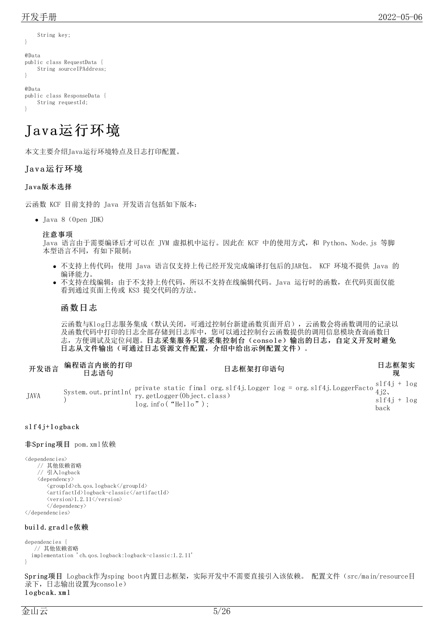String key;

```
}
@Data
public class RequestData {
    String sourceIPAddress;
}
@Data
```

```
public class ResponseData {
    String requestId;
}
```
# <span id="page-4-0"></span>Java运行环境

本文主要介绍Java运行环境特点及日志打印配置。

#### <span id="page-4-1"></span>Java运行环境

#### <span id="page-4-2"></span>Ja va版本选择

云函数 KCF 目前支持的 Java 开发语言包括如下版本:

Java 8(Open JDK)

注意事项

Java 语言由于需要编译后才可以在 JVM 虚拟机中运行。因此在 KCF 中的使用方式, 和 Python、Node.js 等脚 本型语言不同,有如下限制:

- 不支持上传代码:使用 Java 语言仅支持上传已经开发完成编译打包后的JAR包。 KCF 环境不提供 Java 的 编译能力。
- 不支持在线编辑:由于不支持上传代码,所以不支持在线编辑代码。Java 运行时的函数,在代码页面仅能 看到通过页面上传或 KS3 提交代码的方法。

#### <span id="page-4-3"></span>函数日志

云函数与Klog日志服务集成(默认关闭,可通过控制台新建函数页面开启),云函数会将函数调用的记录以 及函数代码中打印的日志全部存储到日志库中,您可以通过控制台云函数提供的调用信息模块查询函数日 志,方便调试及定位问题。日志采集服务只能采集控制台(console)输出的日志,自定义开发时避免 日志从文件输出(可通过日志资源文件配置,介绍中给出示例配置文件)。

|             | 开发语言 编程语言内嵌的打印<br>日志语句 | 日志框架打印语句                                                                                                                                            | 日志框架实                 |  |
|-------------|------------------------|-----------------------------------------------------------------------------------------------------------------------------------------------------|-----------------------|--|
| <b>JAVA</b> |                        | System.out.println( private static final org.slf4j.Logger log = org.slf4j.LoggerFacto $\frac{\text{slf4j}}{4\text{j2}}$ ,<br>$log.$ info ("Hello"); | $slf4i + log$<br>back |  |

#### <span id="page-4-4"></span> $slf4j+logback$

#### 非Spring项目 pom.xml依赖

```
<dependencies>
     // 其他依赖省略
     // 引入logback
    \langledependency\rangle<groupId>ch.qos.logback</groupId>
         \langleartifactId>logback-classic\langle/artifactId>
         \langle version \rangle1.2.11\langle /version \rangle\langle/dependency>
</dependencies>
```
#### buil d.gra dl e依赖

```
dependencies {
   // 其他依赖省略
 implementation 'ch.qos.logback:logback-classic:1.2.11'
}
```
Spring项目 Logback作为sping boot内置日志框架,实际开发中不需要直接引入该依赖。 配置文件(src/main/resource目 录下,日志输出设置为console) logbcak.xml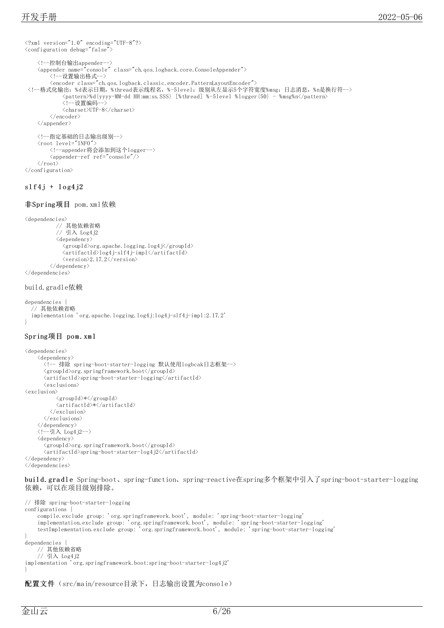```
\langle ?xm1 version="1.0" encoding="UTF-8"?>
<configuration debug="false">
    <!--控制台输出appender-->
    <appender name="console" class="ch.qos.logback.core.ConsoleAppender">
        <!--设置输出格式-->
        <encoder class="ch.qos.logback.classic.encoder.PatternLayoutEncoder">
 <!--格式化输出:%d表示日期,%thread表示线程名,%-5level:级别从左显示5个字符宽度%msg:日志消息,%n是换行符-->
            <pattern>%d{yyyy-MM-dd HH:mm:ss.SSS} [%thread] %-5level %logger{50} - %msg%n</pattern>
            --<br><!--设置编码-->
            <charset>UTF-8</charset>
        \langle/encoder>
    \langle/appender>
    <!--指定基础的日志输出级别-->
    <root level="INFO">
        <!--appender将会添加到这个logger-->
        <appender-ref ref="console"/>
    \langle/root\rangle\langle/configuration\rangle
```
#### <span id="page-5-0"></span> $slf4j + log4j2$

#### 非Spring项目 pom.xml依赖

```
<dependencies>
           // 其他依赖省略
           // 引入 Log4j2
           \langledependency\rangle<groupId>org.apache.logging.log4j</groupId>
              \langleartifactId\ranglelog4j-slf4j-impl\langle/artifactId\rangle<version>2.17.2</version>
         </dependency>
</dependencies>
```
#### build.gradle依赖

```
dependencies {
   // 其他依赖省略
  implementation 'org.apache.logging.log4j:log4j-slf4j-impl:2.17.2'
}
```
#### Spring项目 pom. xml

```
<dependencies>
    \langledependency\rangle<!-- 排除 spring-boot-starter-logging 默认使用logbcak日志框架-->
      <groupId>org.springframework.boot</groupId>
      \langleartifactId\ranglespring-boot-starter-logging\langle/artifactId\rangle\langleexclusions\rangle<exclusion>
            <groupId>*</groupId>
            \langleartifactId>*\langle/artifactId>
         \langle/exclusion\rangle\langle/exclusions>
    \langle/dependency>
    <!--引入 Log4j2-->
    <dependency>
       <groupId>org.springframework.boot</groupId>
       <artifactId>spring-boot-starter-log4j2</artifactId>
</dependency>
</dependencies>
```

```
buil d.gra dl e Spring-boot、spring-function、spring-reactive在spring多个框架中引入了spring-boot-starter-logging
依赖,可以在项目级别排除。
```

```
// 排除 spring-boot-starter-logging
configurations {
    compile.exclude group: 'org.springframework.boot', module: 'spring-boot-starter-logging'
    implementation.exclude group: 'org.springframework.boot', module: 'spring-boot-starter-logging'
    testImplementation.exclude group: 'org.springframework.boot', module: 'spring-boot-starter-logging'
}
dependencies {
    // 其他依赖省略
    // 引入 Log4j2
implementation 'org.springframework.boot:spring-boot-starter-log4j2'
}
```
#### 配置文件(src/main/resource目录下,日志输出设置为console)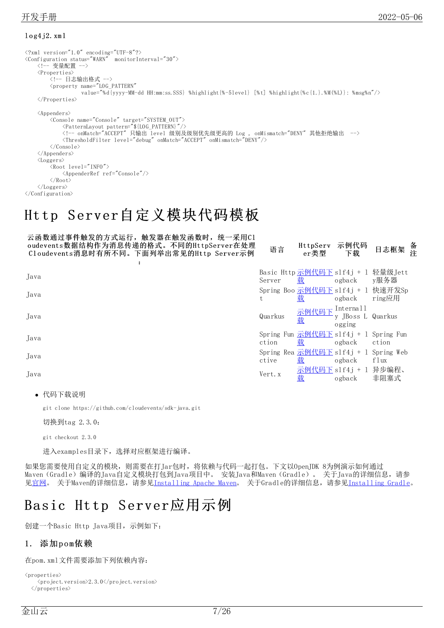#### <span id="page-6-0"></span> $log4j2.$  xml

```
\langle ?xm1 version="1.0" encoding="UTF-8"?>
<Configuration status="WARN" monitorInterval="30">
    <!-- 变量配置 -->
    <Properties>
        .<br><!-- 日志输出格式 -->
        <property name="LOG_PATTERN"
                  value="%d{yyyy-MM-dd HH:mm:ss.SSS} %highlight{%-5level} [%t] %highlight{%c{1.}.%M(%L)}: %msg%n"/>
    </Properties>
    <Appenders>
        <Console name="Console" target="SYSTEM_OUT">
            <PatternLayout pattern="${LOG_PATTERN}"/>
            <!-- onMatch="ACCEPT" 只输出 level 级别及级别优先级更高的 Log , onMismatch="DENY" 其他拒绝输出 -->
            <ThresholdFilter level="debug" onMatch="ACCEPT" onMismatch="DENY"/>
        </Console>
    </Appenders>
    <Loggers>
        \langleRoot level="INFO">
            <AppenderRef ref="Console"/>
        </Root>
    </Loggers>
</Configuration>
```
# <span id="page-6-1"></span>Http Server自定义模块代码模板

| 云函数通过事件触发的方式运行, 触发器在触发函数时, 统一采用C1<br>oudevents数据结构作为消息传递的格式。不同的HttpServer在处理<br>Cloudevents消息时有所不同。下面列举出常见的Http Server示例 | 语言      | HttpServ<br>er类型                           | 示例代码<br>下载                               | 备注<br>日志框架                                  |
|--------------------------------------------------------------------------------------------------------------------------|---------|--------------------------------------------|------------------------------------------|---------------------------------------------|
|                                                                                                                          |         |                                            |                                          |                                             |
| Java                                                                                                                     | Server  | 载                                          | ogback                                   | Basic Http 示例代码下 slf4j + 1 轻量级 Jett<br>y服务器 |
| Java                                                                                                                     | t       | 载                                          | ogback                                   | Spring Boo 示例代码下 slf4j + 1 快速开发Sp<br>ring应用 |
| Java                                                                                                                     | Quarkus | 示例代码下<br>载                                 | Internall<br>y JBoss L Quarkus<br>ogging |                                             |
| Java                                                                                                                     | ction   | Spring Fun 示例代码下 slf4j + 1 Spring Fun<br>臷 | ogback                                   | ction                                       |
| Java                                                                                                                     | ctive   | Spring Rea 示例代码下 slf4j + 1 Spring Web<br>臷 | ogback                                   | flux                                        |
| Java                                                                                                                     | Vert. x | 示例代码下 slf4j + 1 异步编程、<br>载                 | ogback                                   | 非阻塞式                                        |
|                                                                                                                          |         |                                            |                                          |                                             |

代码下载说明

git clone https://github.com/cloudevents/sdk-java.git

切换到tag 2.3.0:

```
git checkout 2.3.0
```
进入examples目录下,选择对应框架进行编译。

如果您需要使用自定义的模块,则需要在打Jar包时,将依赖与代码一起打包。下文以OpenJDK 8为例演示如何通过 Maven (Gradle)编译的Java自定义模块打包到Java项目中。 安装Java和Maven (Gradle)。 关于Java的详细信息,请参 见<u>[官网](https://openjdk.java.net/install/)</u>。 关于Maven的详细信息,请参见<u>Installing Apache Maven</u>。 关于Gradle的详细信息,请参见<u>Installing Gradle</u>。

# <span id="page-6-2"></span>Basic Http Server应用示例

创建一个Basic Http Java项目,示例如下:

#### <span id="page-6-3"></span>1. 添加pom依赖

在pom.xml文件需要添加下列依赖内容:

```
<properties>
    <project.version>2.3.0</project.version>
  \langle/properties\rangle
```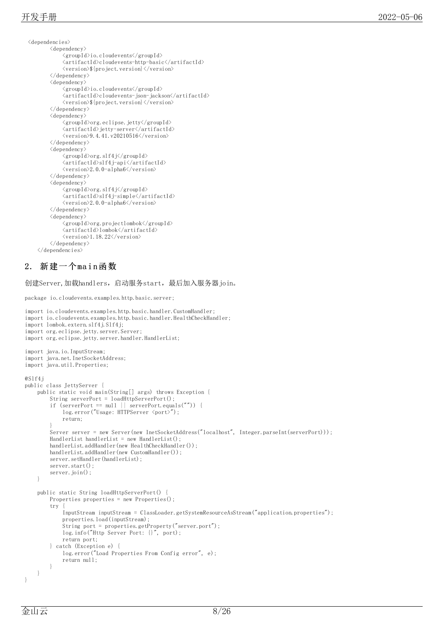```
<dependencies>
         <dependency>
              <groupId>io.cloudevents</groupId>
              <artifactId>cloudevents-http-basic</artifactId>
              <version>${project.version}</version>
         \langle/dependency>
         \langledependency\rangle<groupId>io.cloudevents</groupId>
              <artifactId>cloudevents-json-jackson</artifactId>
              <version>${project.version}</version>
         </dependency>
         \langledependency\rangle<groupId>org.eclipse.jetty</groupId>
              <artifactId>jetty-server</artifactId>
              \langle version \rangle 9.4.41.v20210516 \langle /version \rangle\langle/dependency>
         <dependency>
              \langle \text{groupId}\rangleorg.slf4j\langle \text{groupId}\rangle<artifactId>slf4j-api</artifactId>
              \langle version \rangle2.0.0-alpha6\langle version \rangle</dependency>
         <dependency>
              <groupId>org.slf4j</groupId>
              <artifactId>slf4j-simple</artifactId>
              <version>2.0.0-alpha6</version>
         </dependency>
         <dependency>
              \langle \text{groupId}\rangleorg.projectlombok\langle \text{/groupId}\rangle\langleartifactId>lombok\langle/artifactId>
              <version>1.18.22</version>
         </dependency>
   \langle/dependencies>
```
# <span id="page-7-0"></span> $2.$  新建一个main函数

创建Server,加载handlers,启动服务start,最后加入服务器join。

```
package io.cloudevents.examples.http.basic.server;
import io.cloudevents.examples.http.basic.handler.CustomHandler;
import io.cloudevents.examples.http.basic.handler.HealthCheckHandler;
import lombok.extern.slf4j.Slf4j:
import org.eclipse.jetty.server.Server;
import org.eclipse.jetty.server.handler.HandlerList;
import java.io.InputStream;
import java.net.InetSocketAddress;
import java.util.Properties;
@Slf4j
public class JettyServer {
    public static void main(String[] args) throws Exception {
        String serverPort = loadHttpServerPort();
        if (serverPort == null || serverPort.equals("")) {
            log.error("Usage: HTTPServer <port>");
            return;
        }
        Server server = new Server(new InetSocketAddress("localhost", Integer.parseInt(serverPort)));
        HandlerList handlerList = new HandlerList();
        handlerList.addHandler(new HealthCheckHandler());
        handlerList.addHandler(new CustomHandler());
        server.setHandler(handlerList);
        server.start();
        server.join();
    }
    public static String loadHttpServerPort() {
        Properties properties = new Properties();
        try
            InputStream inputStream = ClassLoader.getSystemResourceAsStream("application.properties");
            properties.load(inputStream);
            String port = properties.getProperty("server.port");
            log.info("Http Server Port: {}", port);
            return port;
        } catch (Exception e) {
            log.error("Load Properties From Config error", e);
            return null;
        }
    }
}
```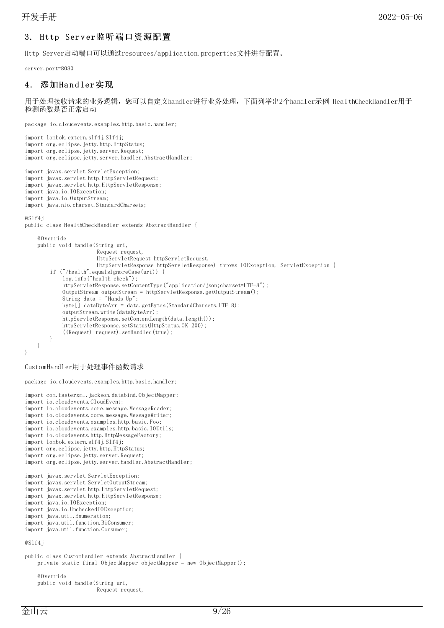#### <span id="page-8-0"></span>3. Http Server监听端口资源配置

Http Server启动端口可以通过resources/application.properties文件进行配置。

server.port=8080

#### <span id="page-8-1"></span>4. 添加Handler实现

用于处理接收请求的业务逻辑,您可以自定义handler进行业务处理,下面列举出2个handler示例 HealthCheckHandler用于 检测函数是否正常启动

package io.cloudevents.examples.http.basic.handler;

```
import lombok.extern.slf4j.Slf4j;
import org.eclipse.jetty.http.HttpStatus;
import org.eclipse.jetty.server.Request;
import org.eclipse.jetty.server.handler.AbstractHandler;
import javax.servlet.ServletException;
import javax.servlet.http.HttpServletRequest;
import javax.servlet.http.HttpServletResponse;
import java.io.IOException;
import java.io.OutputStream;
import java.nio.charset.StandardCharsets;
@Slf4j
public class HealthCheckHandler extends AbstractHandler {
    @Override
    public void handle(String uri,
                         Request request,
                         HttpServletRequest httpServletRequest,
                         HttpServletResponse httpServletResponse) throws IOException, ServletException {
         if ("/health".equalsIgnoreCase(uri)) {
             log.info("health check");
             httpServletResponse.setContentType("application/json;charset=UTF-8");
             OutputStream outputStream = httpServletResponse.getOutputStream();
             String data = "Hands Up";
             byte\begin{bmatrix} 1 \end{bmatrix} dataByteArr = data.getBytes(StandardCharsets.UTF_8);
             outputStream.write(dataByteArr);
             httpServletResponse.setContentLength(data.length());
             httpServletResponse.setStatus(HttpStatus.OK_200);
             ((Request) request).setHandled(true);
         }
    }
}
```
CustomHandler用于处理事件函数请求

package io.cloudevents.examples.http.basic.handler;

```
import com.fasterxml.jackson.databind.ObjectMapper;
import io.cloudevents.CloudEvent;
import io.cloudevents.core.message.MessageReader;
import io.cloudevents.core.message.MessageWriter;
import io.cloudevents.examples.http.basic.Foo;
import io.cloudevents.examples.http.basic.IOUtils;
import io.cloudevents.http.HttpMessageFactory;
import lombok.extern.slf4j.Slf4j;
import org.eclipse.jetty.http.HttpStatus;
import org.eclipse.jetty.server.Request;
import org.eclipse.jetty.server.handler.AbstractHandler;
import javax.servlet.ServletException;
import javax.servlet.ServletOutputStream;
import javax.servlet.http.HttpServletRequest;
import javax.servlet.http.HttpServletResponse;
import java.io.IOException;
import java.io.UncheckedIOException;
import java.util.Enumeration;
import java.util.function.BiConsumer;
import java.util.function.Consumer;
@Slf4j
public class CustomHandler extends AbstractHandler {
   private static final ObjectMapper objectMapper = new ObjectMapper();
    @Override
    public void handle(String uri,
                        Request request,
```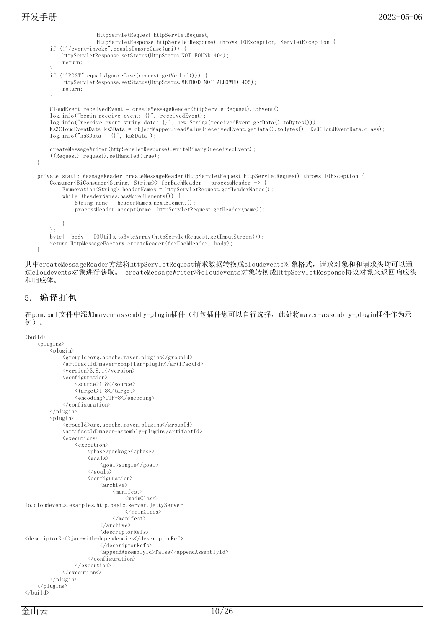```
HttpServletRequest httpServletRequest,
                   HttpServletResponse httpServletResponse) throws IOException, ServletException {
    if (!"/event-invoke".equalsIgnoreCase(uri)) {
        httpServletResponse.setStatus(HttpStatus.NOT_FOUND_404);
        return;
    }
    if (!"POST".equalsIgnoreCase(request.getMethod())) {
        httpServletResponse.setStatus(HttpStatus.METHOD_NOT_ALLOWED_405);
        return;
    }
   CloudEvent receivedEvent = createMessageReader(httpServletRequest).toEvent();
    log.info("begin receive event: {}", receivedEvent);
    log.info("receive event string data: {}", new String(receivedEvent.getData().toBytes()));
    Ks3CloudEventData ks3Data = objectMapper.readValue(receivedEvent.getData().toBytes(), Ks3CloudEventData.class);
    log.info("ks3Data : {}", ks3Data );
    createMessageWriter(httpServletResponse).writeBinary(receivedEvent);
    ((Request) request).setHandled(true);
}
private static MessageReader createMessageReader(HttpServletRequest httpServletRequest) throws IOException {
    Consumer<BiConsumer<String, String>> forEachHeader = processHeader -> {
        Enumeration<String> headerNames = httpServletRequest.getHeaderNames();
        while (headerNames.hasMoreElements()) {
            String name = headerNames.nextElement();
            processHeader.accept(name, httpServletRequest.getHeader(name));
        }
    };
   byte[] body = IOUtils.toByteArray(httpServletRequest.getInputStream());
    return HttpMessageFactory.createReader(forEachHeader, body);
}
```
其中createMessageReader方法将httpServletRequest请求数据转换成cloudevents对象格式,请求对象和和请求头均可以通 过cloudevents对象进行获取。 createMessageWriter将cloudevents对象转换成HttpServletResponse协议对象来返回响应头 和响应体。

## <span id="page-9-0"></span>5. 编译打包

在pom.xml文件中添加maven-assembly-plugin插件(打包插件您可以自行选择,此处将maven-assembly-plugin插件作为示 例)。

```
\langle \text{bui} \, 1 \, \text{d} \rangle
```

```
\langleplugins>
            \langleplugin\rangle<groupId>org.apache.maven.plugins</groupId>
                  <artifactId>maven-compiler-plugin</artifactId>
                  \langle version \rangle3.8.1\langle version \rangle<configuration>
                        <source>1.8</source>
                         \langle target \rangle1.8\langle /target \rangle\langle encoding\rangleUTF-8\langle/encoding\rangle</configuration>
            \langle/plugin\rangle\langleplugin\rangle<groupId>org.apache.maven.plugins</groupId>
                  <artifactId>maven-assembly-plugin</artifactId>
                  \langleexecutions\rangle\langleexecution\rangle\langle \text{phase}\ranglepackage\langle \text{/phase}\rangle\langle \text{goal s} \rangle\langlegoal\ranglesingle\langle/goal\rangle\langle \sqrt{\gamma}goals\rangle<configuration>
                                     \langlearchive\rangle\langlemanifest\rangle\langlemainClass\rangleio.cloudevents.examples.http.basic.server.JettyServer
                                                 \langle/mainClass\rangle\langle/manifest>
                                     \langle/archive>
                                     <descriptorRefs>
<descriptorRef>jar-with-dependencies</descriptorRef>
                                     </descriptorRefs>
                                     <appendAssemblyId>false</appendAssemblyId>
                               </configuration>
                        \langle/execution\rangle\langle/executions>
            \langle/plugin\rangle\langle/plugins>
\langle/build>
```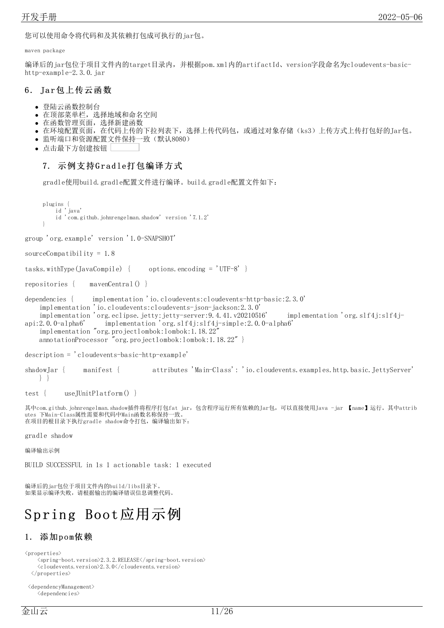您可以使用命令将代码和及其依赖打包成可执行的jar包。

maven package

编译后的jar包位于项目文件内的target目录内,并根据pom.xml内的artifactId、version字段命名为cloudevents-basichttp-example-2.3.0.jar

### <span id="page-10-0"></span>6. Jar包上传云函数

- 登陆云函数控制台  $\bullet$
- 在顶部菜单栏,选择地域和命名空间
- 在函数管理页面,选择新建函数
- 在环境配置页面,在代码上传的下拉列表下,选择上传代码包,或通过对象存储(ks3)上传方式上传打包好的Jar包。
- 监听端口和资源配置文件保持一致(默认8080)
- 点击最下方创建按钮

## <span id="page-10-1"></span>7. 示例支持Gradle打包编译方式

gradle使用build.gradle配置文件进行编译。build.gradle配置文件如下:

```
plugins {
    id 'java'
    id 'com.github.johnrengelman.shadow' version '7.1.2'
}
```
group 'org.example' version '1.0-SNAPSHOT'

```
sourceCompatibility = 1.8
```
tasks.withType(JavaCompile) { options.encoding =  $'UTF-8'$  }

repositories { mavenCentral() }

```
dependencies { implementation 'io.cloudevents:cloudevents-http-basic:2.3.0'
   implementation 'io.cloudevents:cloudevents-json-jackson:2.3.0'
    implementation 'org.eclipse.jetty:jetty-server:9.4.41.v20210516' implementation 'org.slf4j:slf4j-
```

```
api:2.0.0-alpha6' implementation 'org.slf4j:slf4j-simple:2.0.0-alpha6'
    implementation "org.projectlombok:lombok:1.18.22"
   annotationProcessor "org.projectlombok:lombok:1.18.22" }
```
description = 'cloudevents-basic-http-example'

shadowJar { manifest { attributes 'Main-Class': 'io.cloudevents.examples.http.basic.JettyServer' } }

test { useJUnitPlatform() }

其中com.github.johnrengelman.shadow插件将程序打包fat jar, 包含程序运行所有依赖的Jar包,可以直接使用Java -jar 【name】运行。其中attrib utes 下Main-Class属性需要和代码中Main函数名称保持一致。 在项目的根目录下执行gradle shadow命令打包,编译输出如下:

gradle shadow

编译输出示例

BUILD SUCCESSFUL in 1s 1 actionable task: 1 executed

编译后的jar包位于项目文件内的build/libs目录下。 加果显示编译失败,请根据输出的编译错误信息调整代码。

# <span id="page-10-2"></span>Spring Boot应用示例

# <span id="page-10-3"></span>1. 添加pom依赖

```
\langleproperties\rangle
```

```
\langlespring-boot.version\rangle2.3.2.RELEASE\langle/spring-boot.version\rangle<cloudevents.version>2.3.0</cloudevents.version>
\langle/properties>
```
<dependencyManagement> <dependencies>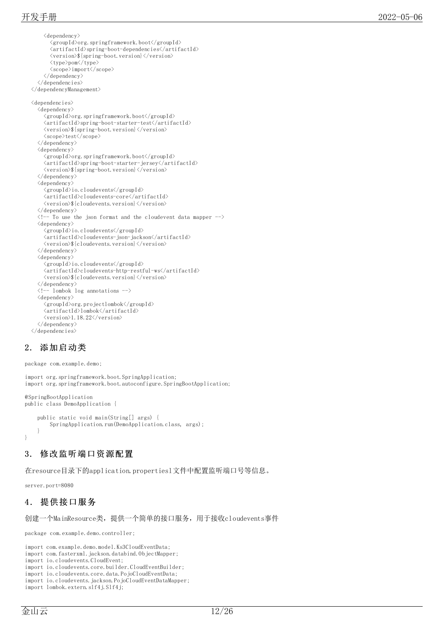```
<dependency>
       \langlegroupId\rangleorg.springframework.boot\langle/groupId\rangle<artifactId>spring-boot-dependencies</artifactId>
       <version>${spring-boot.version}</version>
       <type>pom</type>
       <scope>import</scope>
     </dependency>
  </dependencies>
\langle/dependencyManagement>
<dependencies>
  <dependency>
    <groupId>org.springframework.boot</groupId>
     <artifactId>spring-boot-starter-test</artifactId>
     <version>${spring-boot.version}</version>
     <scope>test</scope>
  \langle/dependency>
  \langledependency\rangle<groupId>org.springframework.boot</groupId>
     <artifactId>spring-boot-starter-jersey</artifactId>
     \langle version \rangle {spring-boot.version} \langle version \rangle\langle/dependency>
  \langledependency\rangle<groupId>io.cloudevents</groupId>
     <artifactId>cloudevents-core</artifactId>
     <version>${cloudevents.version}</version>
  \langle/dependency>
  \langle !-- To use the json format and the cloudevent data mapper -->
  \langledependency\rangle<groupId>io.cloudevents</groupId>
     \label{eq:2} $$\zeta\leftarrow\zeta\cdot\frac{-j\omega-\jmath\zeta\cdot\sqrt{\arti\,factId}}$$\langle version \rangle {cloudevents.version}\langle/version \rangle</dependency>
  \langledependency\rangle<groupId>io.cloudevents</groupId>
     <artifactId>cloudevents-http-restful-ws</artifactId>
     <version>${cloudevents.version}</version>
  \langle/dependency>
  \langle !-- lombok log annotations -->
  <dependency>
     <groupId>org.projectlombok</groupId>
     <artifactId>lombok</artifactId>
     <version>1.18.22</version>
  </dependency>
</dependencies>
```
# <span id="page-11-0"></span>2. 添加启动类

```
package com.example.demo;
```

```
import org.springframework.boot.SpringApplication;
import org.springframework.boot.autoconfigure.SpringBootApplication;
@SpringBootApplication
public class DemoApplication {
```

```
public static void main(String[] args) {
       SpringApplication.run(DemoApplication.class, args);
    }
}
```
## <span id="page-11-1"></span>3. 修改监听端口资源配置

在resource目录下的application.propertiesl文件中配置监听端口号等信息。

server.port=8080

## <span id="page-11-2"></span>4 . 提供接口服务

```
创建一个MainResource类,提供一个简单的接口服务,用于接收cloudevents事件
```
package com.example.demo.controller;

import com.example.demo.model.Ks3CloudEventData;

import com.fasterxml.jackson.databind.ObjectMapper;

import io.cloudevents.CloudEvent;

import io.cloudevents.core.builder.CloudEventBuilder;

import io.cloudevents.core.data.PojoCloudEventData; import io.cloudevents.jackson.PojoCloudEventDataMapper;

import lombok.extern.slf4j.Slf4j;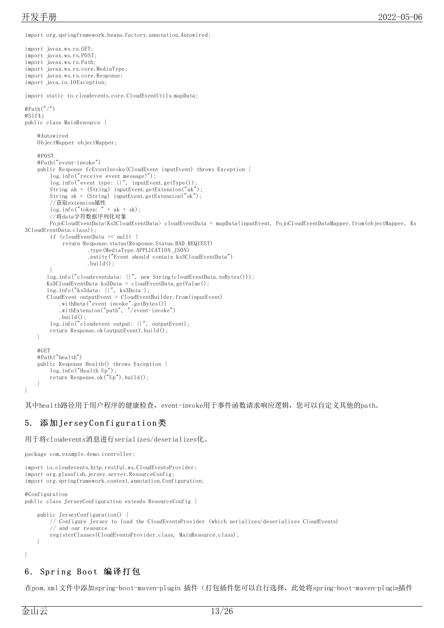import org.springframework.beans.factory.annotation.Autowired;

```
import javax.ws.rs.GET;
import javax.ws.rs.POST;
import javax.ws.rs.Path;
import javax.ws.rs.core.MediaType;
import javax.ws.rs.core.Response;
import java.io.IOException;
import static io.cloudevents.core.CloudEventUtils.mapData;
@Path('')@Slf4j
public class MainResource {
    @Autowired
    ObjectMapper objectMapper;
    @POST
    @Path("event-invoke")
    public Response fcEventInvoke(CloudEvent inputEvent) throws Exception {
        log.info("receive event message!");
        log.info("event type: {}", inputEvent.getType());
        String ak = (String) inputEvent.getExtension("ak");
        String sk = (String) inputEvent.getExtension("sk");
        //获取extension属性
        \log. info("token: " + ak + sk):
        //将data字符数据序列化对象
        PojoCloudEventData<Ks3CloudEventData> cloudEventData = mapData(inputEvent, PojoCloudEventDataMapper.from(objectMapper, Ks
3CloudEventData.class));
        if (cloudEventData == null) {
            return Response, status(Response, Status, BAD_REQUEST)
                     .type(MediaType.APPLICATION_JSON)
                     .entity("Event should contain ks3CloudEventData")
                     .build();
        }
       log.info("cloudeventdata: {}", new String(cloudEventData.toBytes()));
       Ks3CloudEventData ks3Data = cloudEventData.getValue();
       log.info("ks3data: {}", ks3Data );
       CloudEvent outputEvent = CloudEventBuilder.from(inputEvent)
            .withData("event invoke".getBytes())
            .withExtension("path", "/event-invoke")
           .build():
        log.info("cloudevent output: {}", outputEvent);
        return Response.ok(outputEvent).build();
    }
    @GET
    @Path("health")
    public Response Health() throws Exception {
        log.info("Health Up");
        return Response.ok("Up").build();
    }
}
```
其中health路径用于用户程序的健康检查, event-invoke用于事件函数请求响应逻辑, 您可以自定义其他的path。

#### <span id="page-12-0"></span>5. 添加JerseyConfiguration类

用于将cloudevents消息进行serializes/deserializes化。

```
package com.example.demo.controller;
```

```
import io.cloudevents.http.restful.ws.CloudEventsProvider;
import org.glassfish.jersey.server.ResourceConfig;
import org.springframework.context.annotation.Configuration;
@Configuration
public class JerseyConfiguration extends ResourceConfig {
    public JerseyConfiguration() {
        // Configure Jersey to load the CloudEventsProvider (which serializes/deserializes CloudEvents)
        // and our resource
        registerClasses(CloudEventsProvider.class, MainResource.class);
    }
}
```
#### <span id="page-12-1"></span>6. Spring Boot 编译打包

在pom.xml文件中添加spring-boot-maven-plugin 插件(打包插件您可以自行选择,此处将spring-boot-maven-plugin插件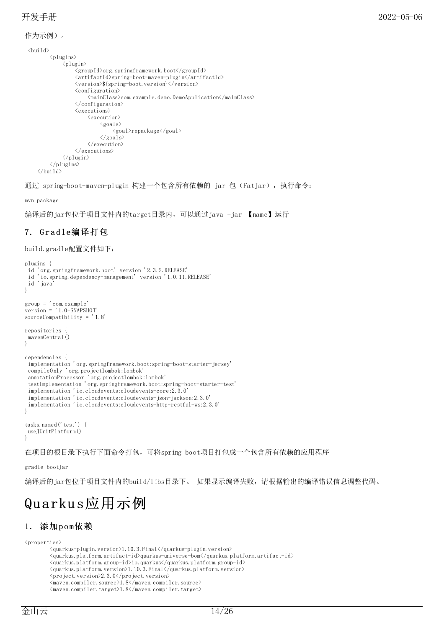```
作为示例)。
 \langle \text{bui} \, 1 \, \text{d} \rangle\langleplugins\rangle\langleplugin\rangle<groupId>org.springframework.boot</groupId>
                       <artifactId>spring-boot-maven-plugin</artifactId>
                       <version>${spring-boot.version}</version>
                       <configuration>
                             <mainClass>com.example.demo.DemoApplication</mainClass>
                       \langle/configuration>
                       \langleexecutions\rangle\langleexecution\rangle\langlegoals\rangle<goal>repackage</goal>
                                  \langle/goals>
                             \langle/execution\rangle\langle/executions\rangle\langle/plugin\rangle\langle/plugins>
     \langle/build>
```
通过 spring-boot-maven-plugin 构建一个包含所有依赖的 jar 包(FatJar),执行命令:

mvn package

编译后的jar包位于项目文件内的target目录内,可以通过java -jar 【name】运行

### <span id="page-13-0"></span>7. G r a d le编译打包

build.gradle配置文件如下:

```
plugins {
 id 'org.springframework.boot' version '2.3.2.RELEASE'
 id 'io.spring.dependency-management' version '1.0.11.RELEASE'
 id 'java'
}
group = 'com.example'
version = '1.0-SNAPSHOT'sourceCompatibility = '1.8'
repositories {
mavenCentral()
}
dependencies {
 implementation 'org.springframework.boot:spring-boot-starter-jersey'
 compileOnly 'org.projectlombok:lombok'
 annotationProcessor 'org.projectlombok:lombok'
 testImplementation 'org.springframework.boot:spring-boot-starter-test'
 implementation 'io.cloudevents:cloudevents-core:2.3.0'
 implementation 'io.cloudevents:cloudevents-json-jackson:2.3.0'
 implementation 'io.cloudevents:cloudevents-http-restful-ws:2.3.0'
}
tasks.named('test') {
useJUnitPlatform()
}
```
在项目的根目录下执行下面命令打包,可将spring boot项目打包成一个包含所有依赖的应用程序

gradle bootJar

编译后的jar包位于项目文件内的build/libs目录下。 如果显示编译失败,请根据输出的编译错误信息调整代码。

# <span id="page-13-1"></span>Qu arku s应用示例

#### <span id="page-13-2"></span>1. 添加pom依赖

 $\langle$ properties $\rangle$ 

- <quarkus.platform.artifact-id>quarkus-universe-bom</quarkus.platform.artifact-id>
- <quarkus.platform.group-id>io.quarkus</quarkus.platform.group-id>

```
<quarkus.platform.version>1.10.3.Final</quarkus.platform.version>
```
<project.version>2.3.0</project.version>

<sup>&</sup>lt;quarkus-plugin.version>1.10.3.Final</quarkus-plugin.version>

 $<$ maven.compiler.source $>$ 1.8 $<$ /maven.compiler.source $>$ 

 $\langle$ maven.compiler.target $\rangle$ 1.8 $\langle$ /maven.compiler.target $\rangle$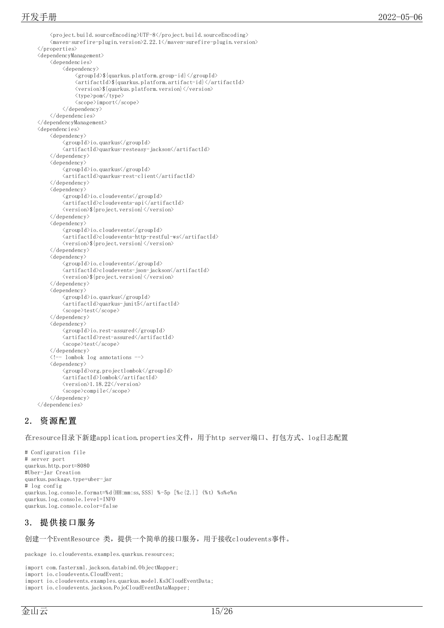<project.build.sourceEncoding>UTF-8</project.build.sourceEncoding>  $\langle$ maven-surefire-plugin.version>2.22.1 $\langle$ /maven-surefire-plugin.version>  $\langle$ /properties> <dependencyManagement> <dependencies>  $\langle$ dependency $\rangle$ <groupId>\${quarkus.platform.group-id}</groupId>  $\langle \text{artifactId} \rangle \$ <version>\${quarkus.platform.version}</version> <type>pom</type> <scope>import</scope>  $\langle$ /dependency>  $\langle$ /dependencies> </dependencyManagement> <dependencies> <dependency>  $\langle groupId\rangle$ io.quarkus $\langle/groupId\rangle$  $\label{eq:2} $$\zeta\left( \frac{Id}{quarkus-resteasy-jackson\zeta}\right) $$$ </dependency> <dependency> <groupId>io.quarkus</groupId> <artifactId>quarkus-rest-client</artifactId>  $\langle$ /dependency> <dependency> <groupId>io.cloudevents</groupId> <artifactId>cloudevents-api</artifactId>  $\langle version \rangle$  {project.version}  $\langle/version \rangle$  $\langle$ /dependency> <dependency> <groupId>io.cloudevents</groupId> <artifactId>cloudevents-http-restful-ws</artifactId>  $\langle version \rangle$  {project.version}  $\langle/version \rangle$  $\langle$ /dependency> <dependency> <groupId>io.cloudevents</groupId> <artifactId>cloudevents-json-jackson</artifactId> <version>\${project.version}</version>  $\langle$ /dependency> <dependency> <groupId>io.quarkus</groupId>  $\langle$ artifactId $\rangle$ quarkus-junit5 $\langle$ /artifactId $\rangle$ <scope>test</scope>  $\langle$ /dependency> <dependency> <groupId>io.rest-assured</groupId> <artifactId>rest-assured</artifactId> <scope>test</scope> </dependency> <!-- lombok log annotations --> <dependency> <groupId>org.projectlombok</groupId>  $\langle$ artifactId>lombok $\langle$ /artifactId>  $\langle version \rangle$ 1.18.22 $\langle/version \rangle$ <scope>compile</scope>  $\langle$ /dependency> </dependencies>

#### <span id="page-14-0"></span>2. 资源配置

在resource目录下新建application.properties文件,用于http server端口、打包方式、log日志配置

# Configuration file # server port quarkus.http.port=8080 #Uber-Jar Creation quarkus.package.type=uber-jar # log config quarkus.log.console.format=%d{HH:mm:ss,SSS} %-5p [%c{2.}] (%t) %s%e%n quarkus.log.console.level=INFO quarkus.log.console.color=false

#### <span id="page-14-1"></span>3. 提供接口服务

创建一个EventResource 类,提供一个简单的接口服务,用于接收cloudevents事件。

package io.cloudevents.examples.quarkus.resources;

import com.fasterxml.jackson.databind.ObjectMapper;

```
import io.cloudevents.CloudEvent;
```
import io.cloudevents.examples.quarkus.model.Ks3CloudEventData;

import io.cloudevents.jackson.PojoCloudEventDataMapper;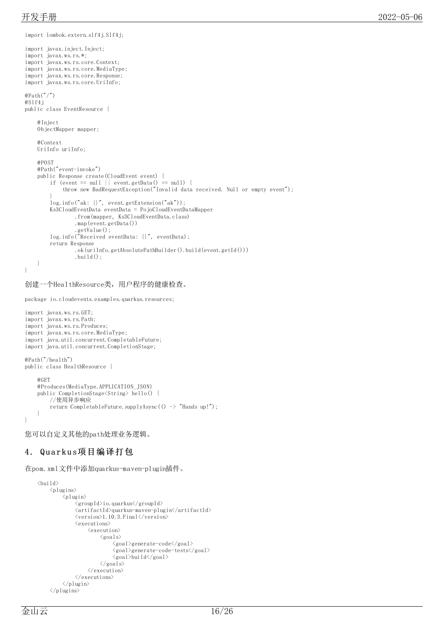```
import lombok.extern.slf4j.Slf4j;
import javax.inject.Inject;
import javax.ws.rs.*;
import javax.ws.rs.core.Context;
import javax.ws.rs.core.MediaType;
import javax.ws.rs.core.Response;
import javax.ws.rs.core.UriInfo;
@Path(''/")@Slf4j
public class EventResource {
    @Inject
    ObjectMapper mapper;
    @Context
    UriInfo uriInfo;
    @POST
    @Path("event-invoke")
    public Response create(CloudEvent event) {
        if (event == null || event.getData() == null {
            throw new BadRequestException("Invalid data received. Null or empty event");
        }
        log.info("ak: {}", event.getExtension("ak"));
        Ks3CloudEventData eventData = PojoCloudEventDataMapper
                 .from(mapper, Ks3CloudEventData.class)
                 .map(event.getData())
                 .getValue();
        log.info("Received eventData: {}", eventData);
        return Response
                 .ok(uriInfo.getAbsolutePathBuilder().build(event.getId()))
                 .build();
    }
}
```

```
创建一个HealthResource类,用户程序的健康检查。
```
package io.cloudevents.examples.quarkus.resources;

```
import javax.ws.rs.GET;
import javax.ws.rs.Path;
import javax.ws.rs.Produces;
import javax.ws.rs.core.MediaType;
import java.util.concurrent.CompletableFuture;
import java.util.concurrent.CompletionStage;
@Path("/health")
public class HealthResource {
    @GET
    @Produces(MediaType.APPLICATION_JSON)
    public CompletionStage<String> hello() {
        //使用异步响应
        return CompletableFuture.supplyAsync(() -> "Hands up!");
    }
}
```
您可以自定义其他的path处理业务逻辑。

#### <span id="page-15-0"></span>4. Quarkus项目编译打包

在pom.xml文件中添加quarkus-maven-plugin插件。

```
\langle \text{bui} \, 1 \, \text{d} \rangle\langleplugins\rangle\langleplugin\rangle<groupId>io.quarkus</groupId>
                   <artifactId>quarkus-maven-plugin</artifactId>
                   \langle version \rangle1.10.3.Final\langle /version \rangle<executions>
                         \langleexecution\rangle\langlegoals\rangle<goal>generate-code</goal>
                                      <goal>generate-code-tests</goal>
                                      <goal>build</goal>
                               \langle/goals>
                         \langle/execution\rangle\langle/executions>
            \langle/plugin\rangle\langle/plugins>
```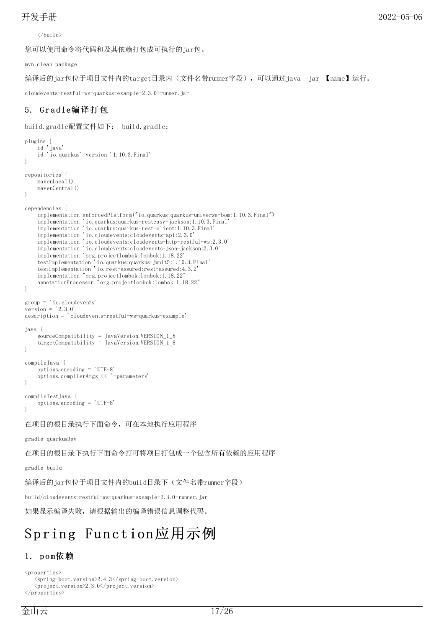$\langle$ /build>

您可以使用命令将代码和及其依赖打包成可执行的jar包。

mvn clean package

编译后的jar包位于项目文件内的target目录内(文件名带runner字段), 可以通过java -jar 【name】运行。

cloudevents-restful-ws-quarkus-example-2.3.0-runner.jar

## <span id="page-16-0"></span>5. Gradle编译打包

build.gradle配置文件如下: build.gradle:

```
plugins {
    id 'java'
    id 'io.quarkus' version '1.10.3.Final'
}
repositories {
   mavenLocal()
   mavenCentral()
}
dependencies {
   implementation enforcedPlatform("io.quarkus:quarkus-universe-bom:1.10.3.Final")
    implementation 'io.quarkus:quarkus-resteasy-jackson:1.10.3.Final'
    implementation 'io.quarkus:quarkus-rest-client:1.10.3.Final'
    implementation 'io.cloudevents:cloudevents-api:2.3.0'
    implementation 'io.cloudevents:cloudevents-http-restful-ws:2.3.0'
    implementation 'io.cloudevents:cloudevents-json-jackson:2.3.0'
    implementation 'org.projectlombok:lombok:1.18.22'
   testImplementation 'io.quarkus:quarkus-junit5:1.10.3.Final'
   testImplementation 'io.rest-assured:rest-assured:4.3.2'
   implementation "org.projectlombok:lombok:1.18.22"
   annotationProcessor "org.projectlombok:lombok:1.18.22"
}
group = 'io.cloudevents'
version = '2.3.0'description = 'cloudevents-restful-ws-quarkus-example'
java {
   sourceCompatibility = JavaVersion.VERSION_1_8
   targetCompatibility = JavaVersion.VERSION_1_8
}
compileJava {
   options.encoding = 'UTF-8'
   options.compilerArgs << '-parameters'
}
compileTestJava {
   options.encoding = 'UTF-8'
}
在项目的根目录执行下面命令,可在本地执行应用程序
gradle quarkusDev
在项目的根目录下执行下面命令打可将项目打包成一个包含所有依赖的应用程序
gradle build
编译后的jar包位于项目文件内的build目录下(文件名带runner字段)
build/cloudevents-restful-ws-quarkus-example-2.3.0-runner.jar
如果显示编译失败,请根据输出的编译错误信息调整代码。
```
# <span id="page-16-1"></span>Spring Function应用示例

#### <span id="page-16-2"></span>1. pom依赖

 $\langle$ properties $\rangle$ 

 $\langle$ spring-boot.version $\rangle$ 2.4.3 $\langle$ /spring-boot.version $\rangle$ <project.version>2.3.0</project.version>  $\langle$ /properties>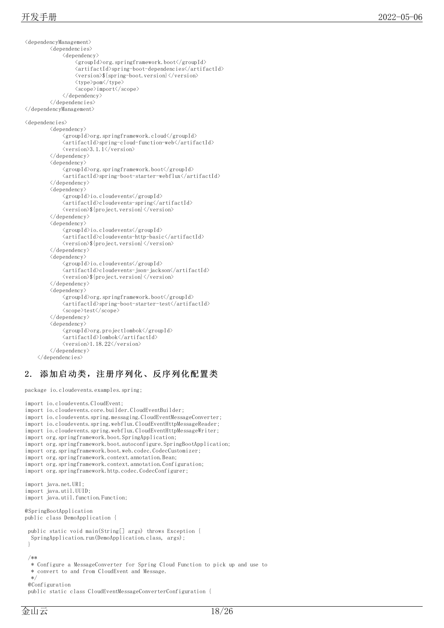<dependencyManagement> <dependencies> < d e p e n d e n c y > <groupId>org.springframework.boot</groupId> <artifactId>spring-boot-dependencies</artifactId> <\version>\\${spring-boot.version}</version> <type>pom</type> < s c o p e > i m p o r t < / s c o p e > < / d e p e n d e n c y > < / d e p e n d e n c i e s > < / d e p e n d e n c y M a n a g e m e n t > <dependencies> < d e p e n d e n c y > <groupId>org.springframework.cloud</groupId> <artifactId>spring-cloud-function-web</artifactId> < v e r s i o n > 3.1.1 < / v e r s i o n > < / d e p e n d e n c y > <dependency>  $\langle \text{groupId}\rangle$ org.springframework.boot $\langle \text{groupId}\rangle$ <artifactId>spring-boot-starter-webflux</artifactId>  $\langle$ /dependency> <dependency> <groupId>io.cloudevents</groupId> <artifactId>cloudevents-spring</artifactId> <wersion>\${project.version}</version>  $\langle$ /dependency> <dependency> <groupId>io.cloudevents</groupId> <artifactId>cloudevents-http-basic</artifactId> <wersion>\${project.version}</version>  $\langle$ /dependency> <dependency> <groupId>io.cloudevents</groupId> <artifactId>cloudevents-json-jackson</artifactId> <wersion>\${project.version}</version>  $\langle$ /dependency> <dependency>  $\langle \text{groupId}\rangle$ org.springframework.boot $\langle \text{groupId}\rangle$ <artifactId>spring-boot-starter-test</artifactId> <scope>test</scope>  $\langle$ /dependency> <dependency> <groupId>org.projectlombok</groupId> <artifactId>lombok</artifactId> <version>1.18.22</version> < / d e p e n d e n c y > < / d e p e n d e n c i e s >

## <span id="page-17-0"></span>2. 添加启动类,注册序列化、反序列化配置类

```
package io.cloudevents.examples.spring;
import io.cloudevents.CloudEvent; import io.cloudevents.core.builder.CloudEventBuilder;
import io.cloudevents.spring.messaging.CloudEventMessageConverter;
import io.cloudevents.spring.webflux.CloudEventHttpMessageReader; import io.cloudevents.spring.webflux.CloudEventHttpMessageWriter; import org.springframework.boot.SpringApplication; import org.springframework.boot.autoconfigure.SpringBootApplication;
import org.springframework.boot.web.codec.CodecCustomizer; import org.springframework.context.annotation.Bean;
import org.springframework.context.annotation.Configuration; import org.springframework.http.codec.CodecConfigurer; import java.net.URI; import java.util.UUID; import java.util.function.Function;
```

```
@SpringBootApplication public class DemoApplication {
```

```
public static void main(String[] args) throws Exception { SpringApplication.run(DemoApplication.class, args);
```
- }<br>/\*\*<br>\* Configure a MessageConverter for Spring Cloud Function to pick up and use to
- \* convert to and from CloudEvent and Message.

\*/ @Configuration

public static class CloudEventMessageConverterConfiguration {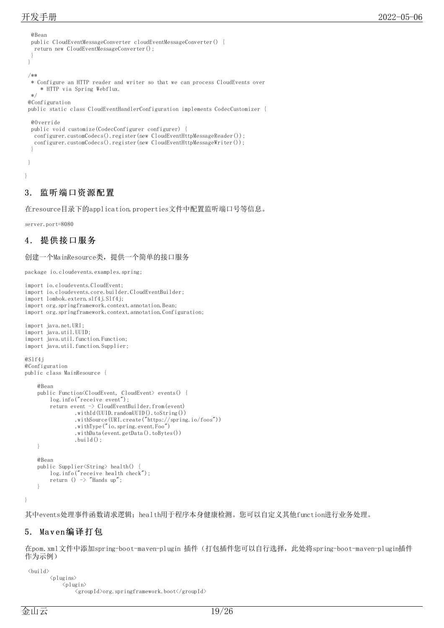@Bean public CloudEventMessageConverter cloudEventMessageConverter() { return new CloudEventMessageConverter(); } } /\*\* \* Configure an HTTP reader and writer so that we can process CloudEvents over \* HTTP via Spring Webflux. \*/ @Configuration public static class CloudEventHandlerConfiguration implements CodecCustomizer { @Override public void customize(CodecConfigurer configurer) { configurer.customCodecs().register(new CloudEventHttpMessageReader()); configurer.customCodecs().register(new CloudEventHttpMessageWriter()); }

#### <span id="page-18-0"></span>3. 监听端口资源配置

在resource目录下的application.properties文件中配置监听端口号等信息。

server.port=8080

} }

### <span id="page-18-1"></span>4 . 提供接口服务

创建一个MainResource类,提供一个简单的接口服务

package io.cloudevents.examples.spring;

```
import io.cloudevents.CloudEvent;
import io.cloudevents.core.builder.CloudEventBuilder;
import lombok.extern.slf4j.Slf4j;
import org.springframework.context.annotation.Bean;
import org.springframework.context.annotation.Configuration;
import java.net.URI;
import java.util.UUID;
import java.util.function.Function;
import java.util.function.Supplier;
@Slf4j
@Configuration
public class MainResource {
    @Bean
    public Function<CloudEvent, CloudEvent> events() {
        log.info("receive event");
        return event -> CloudEventBuilder.from(event)
                 .withId(UUID.randomUUID().toString())
                 .withSource(URI.create("https://spring.io/foos"))
                 .withType("io.spring.event.Foo")
                 .withData(event.getData().toBytes())
                 .build();
    }
    @Bean
    public Supplier<String> health() {
        log.info("receive health check");
        return () \rightarrow "Hands up":
    }
```
其中events处理事件函数请求逻辑; health用于程序本身健康检测。您可以自定义其他function进行业务处理。

#### <span id="page-18-2"></span>5. Ma v en编译打包

在pom.xml文件中添加spring-boot-maven-plugin 插件(打包插件您可以自行选择,此处将spring-boot-maven-plugin插件 作为示例)

 $\langle \text{bui} \, 1 \, \text{d} \rangle$  $\langle$ plugins $\rangle$  $\langle$ plugin $\rangle$ <groupId>org.springframework.boot</groupId>

}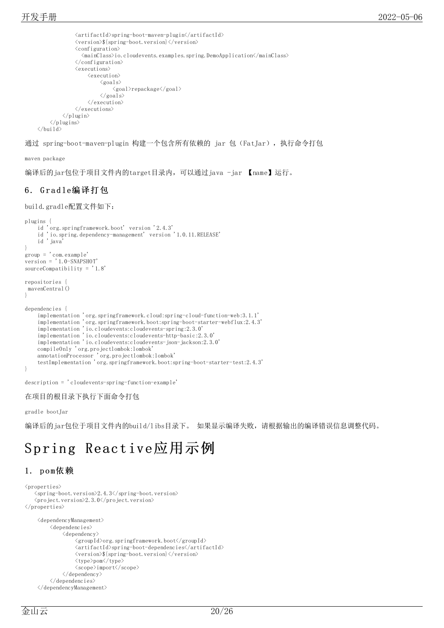```
<artifactId>spring-boot-maven-plugin</artifactId>
                <version>${spring-boot.version}</version>
                \langleconfiguration\rangle<mainClass>io.cloudevents.examples.spring.DemoApplication</mainClass>
                </configuration>
                \langleexecutions\rangle\langleexecution\rangle\langle \text{goals} \rangle<goal>repackage</goal>
                           \langle/goals>
                      \langle/execution>
                \langle/executions>
           \langle/plugin\rangle\langle/plugins>
\langle/build>
```
通过 spring-boot-maven-plugin 构建一个包含所有依赖的 jar 包 (FatJar),执行命令打包

maven package

编译后的jar包位于项目文件内的target目录内,可以通过java -jar 【name】运行。

#### <span id="page-19-0"></span>6 . G r a d le编译打包

build.gradle配置文件如下:

```
plugins {
    id 'org.springframework.boot' version '2.4.3'
    id 'io.spring.dependency-management' version '1.0.11.RELEASE'
    id 'java'
}
group = 'com.example'
version = '1.0-SNAPSHOT'
sourceCompatibility = '1.8'
repositories {
mavenCentral()
}
dependencies {
    implementation 'org.springframework.cloud:spring-cloud-function-web:3.1.1'
    implementation 'org.springframework.boot:spring-boot-starter-webflux:2.4.3'
    implementation 'io.cloudevents:cloudevents-spring:2.3.0'
    implementation 'io.cloudevents:cloudevents-http-basic:2.3.0'
    implementation 'io.cloudevents:cloudevents-json-jackson:2.3.0'
    compileOnly 'org.projectlombok:lombok'
    annotationProcessor 'org.projectlombok:lombok'
    testImplementation 'org.springframework.boot:spring-boot-starter-test:2.4.3'
}
```
description = 'cloudevents-spring-function-example'

在项目的根目录下执行下面命令打包

gradle bootJar

编译后的jar包位于项目文件内的build/libs目录下。 如果显示编译失败,请根据输出的编译错误信息调整代码。

# <span id="page-19-1"></span>Spring Reactive应用示例

#### <span id="page-19-2"></span>1. pom依赖

```
\langleproperties\rangle\langlespring-boot.version\rangle2.4.3\langle/spring-boot.version\rangle<project.version>2.3.0</project.version>
\langle/properties>
    <dependencyManagement>
         <dependencies>
              <dependency>
                   <groupId>org.springframework.boot</groupId>
                   <artifactId>spring-boot-dependencies</artifactId>
                  <version>${spring-boot.version}</version>
                  <type>pom</type>
                  <scope>import</scope>
              </dependency>
         </dependencies>
    </dependencyManagement>
```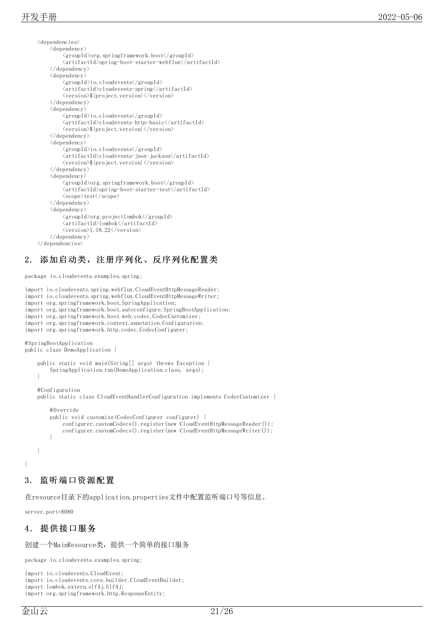```
<dependencies>
    <dependency>
         <groupId>org.springframework.boot</groupId>
         <artifactId>spring-boot-starter-webflux</artifactId>
     </dependency>
    <dependency>
         <groupId>io.cloudevents</groupId>
         <artifactId>cloudevents-spring</artifactId>
         <version>${project.version}</version>
     </dependency>
     <dependency>
         <groupId>io.cloudevents</groupId>
         <artifactId>cloudevents-http-basic</artifactId>
         <version>${project.version}</version>
     \langle/dependency>
     \langledependency\rangle<groupId>io.cloudevents</groupId>
         <artifactId>cloudevents-json-jackson</artifactId>
         <version>${project.version}</version>
     \langle/dependency>
     <dependency>
         \label{eq:groupId} \langle \text{groupId} \rangle \text{org. spring framework.} \text{boot} \langle / \text{groupId} \rangle<artifactId>spring-boot-starter-test</artifactId>
         <scope>test</scope>
     \langle/dependency>
     <dependency>
         <groupId>org.projectlombok</groupId>
         <artifactId>lombok</artifactId>
         <version>1.18.22</version>
     \langle/dependency>
</dependencies>
```
# <span id="page-20-0"></span>2. 添加启动类,注册序列化、反序列化配置类

package io.cloudevents.examples.spring;

```
import io.cloudevents.spring.webflux.CloudEventHttpMessageReader;
import io.cloudevents.spring.webflux.CloudEventHttpMessageWriter;
import org.springframework.boot.SpringApplication;
import org.springframework.boot.autoconfigure.SpringBootApplication;
import org.springframework.boot.web.codec.CodecCustomizer;
import org.springframework.context.annotation.Configuration;
import org.springframework.http.codec.CodecConfigurer;
@SpringBootApplication
public class DemoApplication {
    public static void main(String[] args) throws Exception {
        SpringApplication.run(DemoApplication.class, args);
    }
    @Configuration
    public static class CloudEventHandlerConfiguration implements CodecCustomizer {
        @Override
        public void customize(CodecConfigurer configurer) {
            configurer.customCodecs().register(new CloudEventHttpMessageReader());
            configurer.customCodecs().register(new CloudEventHttpMessageWriter());
        }
    }
```
#### }

#### <span id="page-20-1"></span>3. 监听端口资源配置

在resource目录下的application.properties文件中配置监听端口号等信息。

server.port=8080

#### <span id="page-20-2"></span>4 . 提供接口服务

创建一个MainResource类,提供一个简单的接口服务

package io.cloudevents.examples.spring;

import io.cloudevents.CloudEvent;

```
import io.cloudevents.core.builder.CloudEventBuilder;
```

```
import lombok.extern.slf4j.Slf4j;
import org.springframework.http.ResponseEntity;
```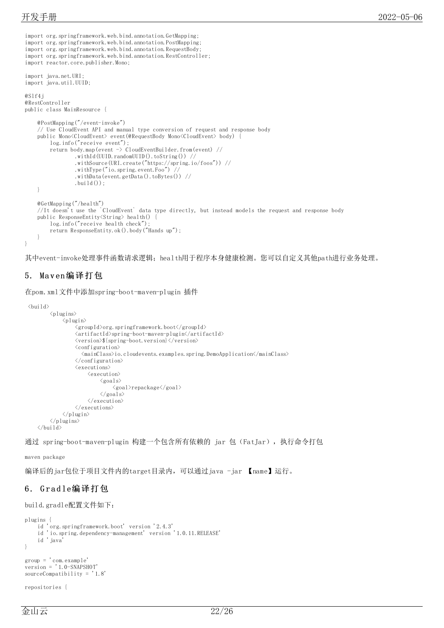```
import org.springframework.web.bind.annotation.GetMapping;
import org.springframework.web.bind.annotation.PostMapping;
import org.springframework.web.bind.annotation.RequestBody;
import org.springframework.web.bind.annotation.RestController;
import reactor.core.publisher.Mono;
import java.net.URI;
import java.util.UUID;
@Slf4j
@RestController
public class MainResource {
    @PostMapping("/event-invoke")
    // Use CloudEvent API and manual type conversion of request and response body
    public Mono<CloudEvent> event(@RequestBody Mono<CloudEvent> body) {
        log.info("receive event");
        return body.map(event -> CloudEventBuilder.from(event) //
                .withId(UUID.randomUUID().toString()) //
                 .withSource(URI.create("https://spring.io/foos")) //
                 .withType("io.spring.event.Foo") //
                 .withData(event.getData().toBytes()) //
                 .build());
    }
    @GetMapping("/health")
    //It doesn't use the `CloudEvent` data type directly, but instead models the request and response body
    public ResponseEntity<String> health() {
        log.info("receive health check");
        return ResponseEntity.ok().body("Hands up");
    }
}
```
其中event-invoke处理事件函数请求逻辑;health用于程序本身健康检测。您可以自定义其他path进行业务处理。

### <span id="page-21-0"></span>5. Ma v en编译打包

在pom.xml文件中添加spring-boot-maven-plugin 插件

```
\langle \text{bui1d} \rangle\langleplugins\rangle\langleplugin\rangle\langle \text{groupId}\rangleorg.springframework.boot\langle \text{groupId}\rangle<artifactId>spring-boot-maven-plugin</artifactId>
                       <version>${spring-boot.version}</version>
                       <configuration>
                          <mainClass>io.cloudevents.examples.spring.DemoApplication</mainClass>
                       </configuration>
                      \langleexecutions\rangle\langleexecution\rangle\langlegoals\rangle<goal>repackage</goal>
                                  \langle/goals>
                             \langle/execution\rangle\langle/executions>
                 \langle/plugin\rangle\langle/plugins>
    \langle/build>
```
通过 spring-boot-maven-plugin 构建一个包含所有依赖的 jar 包(FatJar),执行命令打包

maven package

编译后的jar包位于项目文件内的target目录内,可以通过java -jar 【name】运行。

#### <span id="page-21-1"></span>6 . G r a d le编译打包

```
build.gradle配置文件如下:
```

```
plugins {
    id 'org.springframework.boot' version '2.4.3'
    id 'io.spring.dependency-management' version '1.0.11.RELEASE'
    id 'java'
}
group = 'com.example'
version = '1.0-SNAPSHOT'
sourceCompatibility = '1.8'
```

```
repositories {
```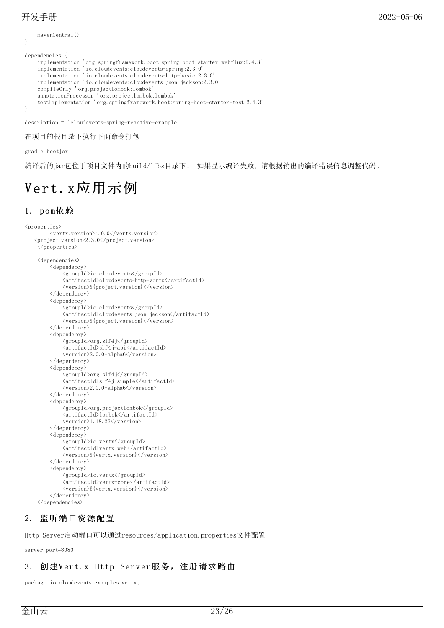mavenCentral()

```
}
dependencies {
    implementation 'org.springframework.boot:spring-boot-starter-webflux:2.4.3'
    implementation 'io.cloudevents:cloudevents-spring:2.3.0'
    implementation 'io.cloudevents:cloudevents-http-basic:2.3.0'
    implementation 'io.cloudevents:cloudevents-json-jackson:2.3.0'
    compileOnly 'org.projectlombok:lombok'
    annotationProcessor 'org.projectlombok:lombok'
    testImplementation 'org.springframework.boot:spring-boot-starter-test:2.4.3'
}
description = 'cloudevents-spring-reactive-example'
```

```
在项目的根目录下执行下面命令打包
```
gradle bootJar

编译后的jar包位于项目文件内的build/libs目录下。 如果显示编译失败,请根据输出的编译错误信息调整代码。

# <span id="page-22-0"></span>Vert. x应用示例

#### <span id="page-22-1"></span>1. pom依赖

```
\langleproperties\rangle<vertx.version>4.0.0</vertx.version>
   \langleproject.version\rangle2.3.0\langle/project.version\rangle\langle/properties>
    <dependencies>
         <dependency>
              <groupId>io.cloudevents</groupId>
              <artifactId>cloudevents-http-vertx</artifactId>
              <version>${project.version}</version>
         </dependency>
         <dependency>
              <groupId>io.cloudevents</groupId>
              <artifactId>cloudevents-json-jackson</artifactId>
              <version>${project.version}</version>
         </dependency>
         <dependency>
              <groupId>org.slf4j</groupId>
              <artifactId>slf4j-api</artifactId>
              \langle version \rangle2.0.0-alpha6\langle version \rangle</dependency>
         <dependency>
              <groupId>org.slf4j</groupId>
              <artifactId>slf4j-simple</artifactId>
              \langle version \rangle2.0.0-alpha6\langle version \rangle</dependency>
         <dependency>
              <groupId>org.projectlombok</groupId>
              <artifactId>lombok</artifactId>
              \langle version \rangle1.18.22\langle/version \rangle</dependency>
         <dependency>
              <groupId>io.vertx</groupId>
              <artifactId>vertx-web</artifactId>
              <version>${vertx.version}</version>
         </dependency>
         <dependency>
              <groupId>io.vertx</groupId>
              <artifactId>vertx-core</artifactId>
              <version>${vertx.version}</version>
         \langle/dependency>
    \langle/dependencies>
```
#### <span id="page-22-2"></span>2. 监听端口资源配置

Http Server启动端口可以通过resources/application.properties文件配置

server.port=8080

# <span id="page-22-3"></span>3. 创建Vert. x Http Server服务, 注册请求路由

package io.cloudevents.examples.vertx;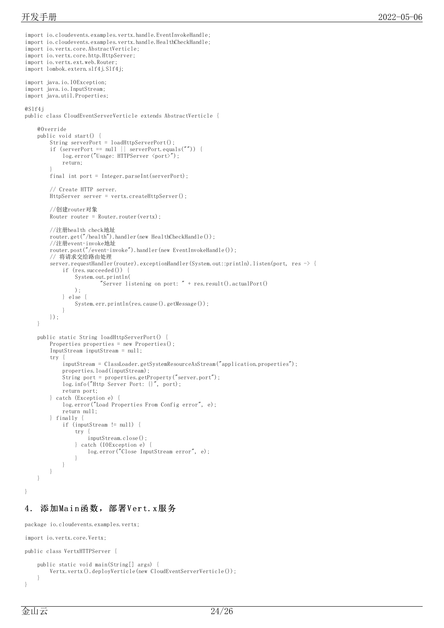```
import io.cloudevents.examples.vertx.handle.EventInvokeHandle;
import io.cloudevents.examples.vertx.handle.HealthCheckHandle;
import io. vertx.core. AbstractVerticle:
import io.vertx.core.http.HttpServer;
import io.vertx.ext.web.Router;
import lombok.extern.slf4j.Slf4j;
import java.io.IOException;
import java.io.InputStream;
import java.util.Properties;
@Slf4j
public class CloudEventServerVerticle extends AbstractVerticle {
    @Override
    public void start() {
        String serverPort = loadHttpServerPort();
        if (serverPort == null || serverPort.equals("")) {
            log.error("Usage: HTTPServer <port>");
            return;
         }
        final int port = Integer.parseInt(serverPort);
        // Create HTTP server.
        HttpServer server = vertx.createHttpServer();
        //创建router对象
        Router router = Router.router(vertx);
        //注册health check地址
        router.get("/health").handler(new HealthCheckHandle());
        //注册event-invoke地址
        router.post("/event-invoke").handler(new EventInvokeHandle());
        // 将请求交给路由处理
        server.requestHandler(router).exceptionHandler(System.out::println).listen(port, res -> {
            if (res.succeeded()) {
                System.out.println(
                         "Server listening on port: " + res.result().actualPort()
                );
            } else {
                System.err.println(res.cause().getMessage());
            }
        });
    }
    public static String loadHttpServerPort() {
        Properties properties = new Properties();
        InputStream inputStream = null;
        try
            inputStream = ClassLoader.getSystemResourceAsStream("application.properties");
            properties.load(inputStream);
            String port = properties.getProperty("server.port");
            log.info("Http Server Port: {}", port);
            return port;
        } catch (Exception e) {
            log.error("Load Properties From Config error", e);
            return null;
        } finally {
            if (inputStream != null) {
                 try
                     inputStream.close();
                 } catch (IOException e) {
                     log.error("Close InputStream error", e);
                 }
            }
        }
    }
}
```
## <span id="page-23-0"></span>4. 添加Main函数,部署Vert.x服务

```
package io.cloudevents.examples.vertx;
import io.vertx.core.Vertx;
public class VertxHTTPServer {
    public static void main(String[] args) {
        Vertx.vertx().deployVerticle(new CloudEventServerVerticle());
    }
```
}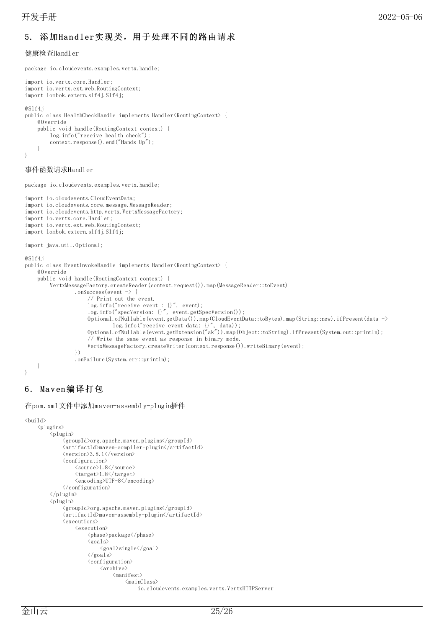# <span id="page-24-0"></span>5. 添加Handler实现类,用于处理不同的路由请求

#### 健康检查Handler

import io.vertx.core.Handler; import io.vertx.ext.web.RoutingContext; import lombok.extern.slf4j.Slf4j; @Slf4j public class HealthCheckHandle implements Handler<RoutingContext> { @Override public void handle(RoutingContext context) { log.info("receive health check"); context.response().end("Hands Up"); } }

#### 事件函数请求Handler

package io.cloudevents.examples.vertx.handle;

package io.cloudevents.examples.vertx.handle;

```
import io.cloudevents.CloudEventData;
import io.cloudevents.core.message.MessageReader;
import io.cloudevents.http.vertx.VertxMessageFactory;
import io.vertx.core.Handler;
import io.vertx.ext.web.RoutingContext;
import lombok.extern.slf4j.Slf4j;
import java.util.Optional;
@Slf4j
public class EventInvokeHandle implements Handler<RoutingContext> {
    @Override
    public void handle(RoutingContext context) {
        VertxMessageFactory.createReader(context.request()).map(MessageReader::toEvent)
                .onSuccess(event -> {
                     // Print out the event.
                     log.info("receive event : {}", event);
                     log.info("specVersion: {}", event.getSpecVersion());
                     Optional.ofNullable(event.getData()).map(CloudEventData::toBytes).map(String::new).ifPresent(data ->
                              log.info("receive event data: {}", data));
                     Optional.ofNullable(event.getExtension("ak")).map(Object::toString).ifPresent(System.out::println);
                     // Write the same event as response in binary mode.
                     VertxMessageFactory.createWriter(context.response()).writeBinary(event);
                })
                .onFailure(System.err::println);
    }
```
}

### <span id="page-24-1"></span>6 . Ma v en编译打包

在pom.xml文件中添加maven-assembly-plugin插件

```
\langle \text{bui} \, 1 \, \text{d} \rangle\langleplugins\rangle\langleplugin\rangle<groupId>org.apache.maven.plugins</groupId>
                  <artifactId>maven-compiler-plugin</artifactId>
                  <version>3.8.1</version>
                  <configuration>
                        \langle source \rangle1.8\langle /source \rangle\langle target \rangle1.8\langle /target \rangle<encoding>UTF-8</encoding>
                  </configuration>
            \langle/plugin\rangle\langleplugin\rangle<groupId>org.apache.maven.plugins</groupId>
                  \langleartifactId\ranglemaven-assembly-plugin\langle/artifactId\rangle\langleexecutions\rangle<execution>
                              <phase>package</phase>
                               \langlegoals\rangle<goal>single</goal>
                               \langle/goals>
                              \langle configuration\rangle\langlearchive\rangle\langlemanifest\rangle<sub>mainClass</sub></sub>
                                                       io.cloudevents.examples.vertx.VertxHTTPServer
```